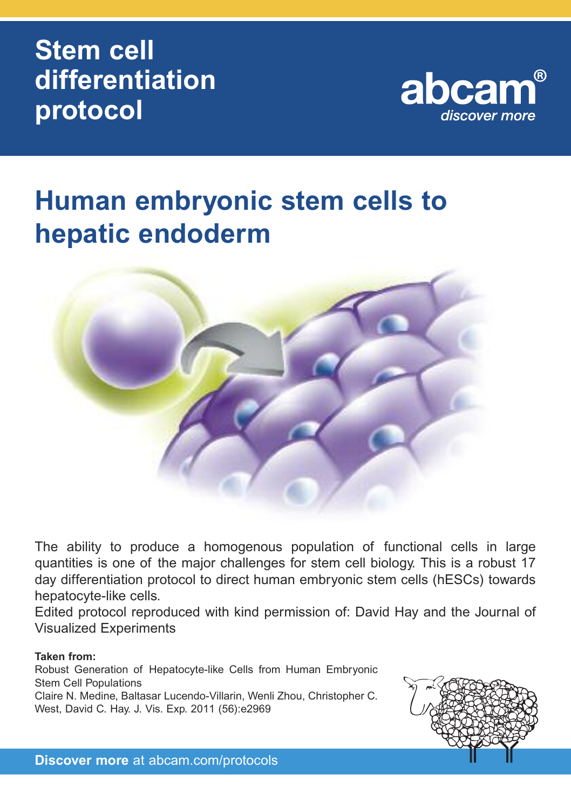# **Stem cell differentiation protocol**



# **Human embryonic stem cells to hepatic endoderm**



The ability to produce a homogenous population of functional cells in large quantities is one of the major challenges for stem cell biology. This is a robust 17 day differentiation protocol to direct human embryonic stem cells (hESCs) towards hepatocyte-like cells.

Edited protocol reproduced with kind permission of: David Hay and the Journal of Visualized Experiments

### **Taken from:**

Robust Generation of Hepatocyte-like Cells from Human Embryonic Stem Cell Populations Claire N. Medine, Baltasar Lucendo-Villarin, Wenli Zhou, Christopher C. West, David C. Hay. J. Vis. Exp. 2011 (56):e2969



**Discover more** at abcam.com/protocols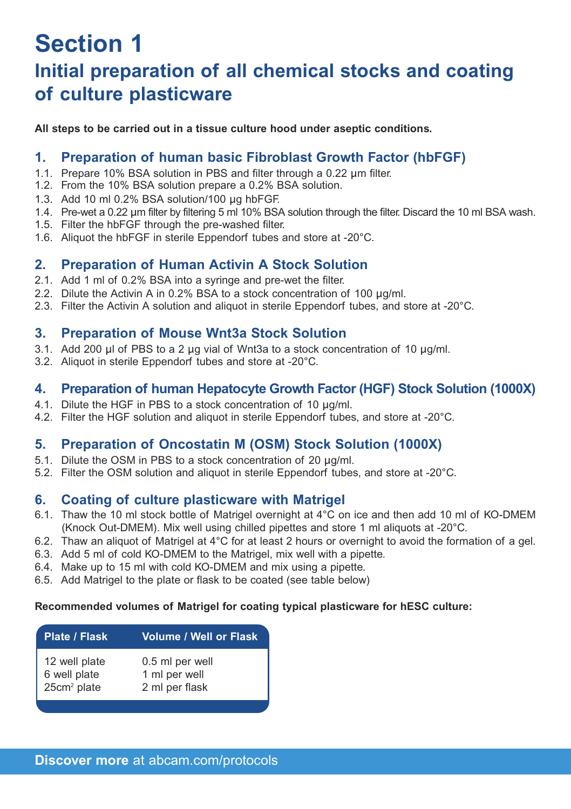### **Section 1 Initial preparation of all chemical stocks and coating of culture plasticware**

**All steps to be carried out in a tissue culture hood under aseptic conditions.**

### **1. Preparation of human basic Fibroblast Growth Factor (hbFGF)**

- 1.1. Prepare 10% BSA solution in PBS and filter through a 0.22 μm filter.
- 1.2. From the 10% BSA solution prepare a 0.2% BSA solution.
- 1.3. Add 10 ml 0.2% BSA solution/100 μg hbFGF.
- 1.4. Pre-wet a 0.22 μm filter by filtering 5 ml 10% BSA solution through the filter. Discard the 10 ml BSA wash.
- 1.5. Filter the hbFGF through the pre-washed filter.
- 1.6. Aliquot the hbFGF in sterile Eppendorf tubes and store at -20°C.

### **2. Preparation of Human Activin A Stock Solution**

- 2.1. Add 1 ml of 0.2% BSA into a syringe and pre-wet the filter.
- 2.2. Dilute the Activin A in 0.2% BSA to a stock concentration of 100 μg/ml.
- 2.3. Filter the Activin A solution and aliquot in sterile Eppendorf tubes, and store at -20°C.

### **3. Preparation of Mouse Wnt3a Stock Solution**

- 3.1. Add 200 μl of PBS to a 2 μg vial of Wnt3a to a stock concentration of 10 μg/ml.
- 3.2. Aliquot in sterile Eppendorf tubes and store at -20°C.

### **4. Preparation of human Hepatocyte Growth Factor (HGF) Stock Solution (1000X)**

- 4.1. Dilute the HGF in PBS to a stock concentration of 10 μg/ml.
- 4.2. Filter the HGF solution and aliquot in sterile Eppendorf tubes, and store at -20°C.

### **5. Preparation of Oncostatin M (OSM) Stock Solution (1000X)**

- 5.1. Dilute the OSM in PBS to a stock concentration of 20 μg/ml.
- 5.2. Filter the OSM solution and aliquot in sterile Eppendorf tubes, and store at -20°C.

### **6. Coating of culture plasticware with Matrigel**

- 6.1. Thaw the 10 ml stock bottle of Matrigel overnight at 4°C on ice and then add 10 ml of KO-DMEM (Knock Out-DMEM). Mix well using chilled pipettes and store 1 ml aliquots at -20°C.
- 6.2. Thaw an aliquot of Matrigel at 4°C for at least 2 hours or overnight to avoid the formation of a gel.
- 6.3. Add 5 ml of cold KO-DMEM to the Matrigel, mix well with a pipette.
- 6.4. Make up to 15 ml with cold KO-DMEM and mix using a pipette.
- 6.5. Add Matrigel to the plate or flask to be coated (see table below)

### **Recommended volumes of Matrigel for coating typical plasticware for hESC culture:**

| Plate / Flask | <b>Volume / Well or Flask</b> |
|---------------|-------------------------------|
| 12 well plate | 0.5 ml per well               |
| 6 well plate  | 1 ml per well                 |
| $25cm2$ plate | 2 ml per flask                |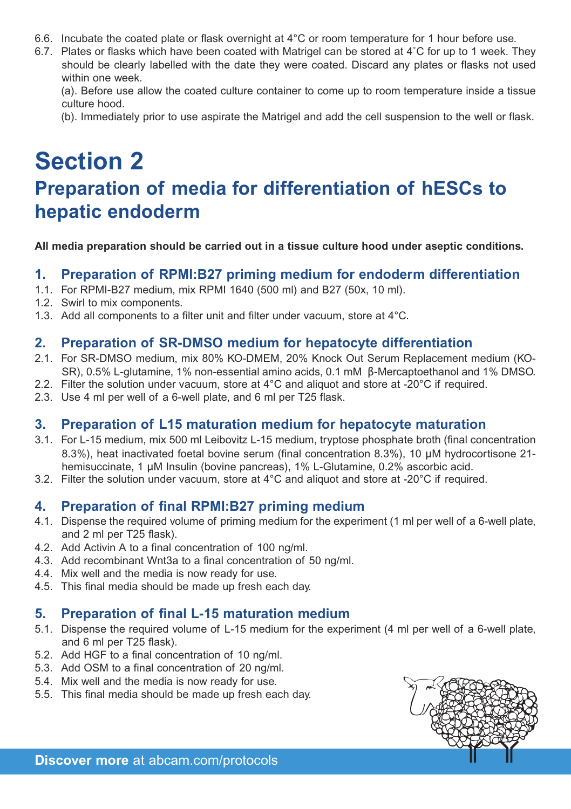- 6.6. Incubate the coated plate or flask overnight at 4°C or room temperature for 1 hour before use.
- 6.7. Plates or flasks which have been coated with Matrigel can be stored at 4˚C for up to 1 week. They should be clearly labelled with the date they were coated. Discard any plates or flasks not used within one week.

(a). Before use allow the coated culture container to come up to room temperature inside a tissue culture hood.

(b). Immediately prior to use aspirate the Matrigel and add the cell suspension to the well or flask.

### **Section 2 Preparation of media for differentiation of hESCs to hepatic endoderm**

**All media preparation should be carried out in a tissue culture hood under aseptic conditions.**

### **1. Preparation of RPMI:B27 priming medium for endoderm differentiation**

- 1.1. For RPMI-B27 medium, mix RPMI 1640 (500 ml) and B27 (50x, 10 ml).
- 1.2. Swirl to mix components.
- 1.3. Add all components to a filter unit and filter under vacuum, store at 4°C.

### **2. Preparation of SR-DMSO medium for hepatocyte differentiation**

- 2.1. For SR-DMSO medium, mix 80% KO-DMEM, 20% Knock Out Serum Replacement medium (KO-SR), 0.5% L-glutamine, 1% non-essential amino acids, 0.1 mM β-Mercaptoethanol and 1% DMSO.
- 2.2. Filter the solution under vacuum, store at 4°C and aliquot and store at -20°C if required.
- 2.3. Use 4 ml per well of a 6-well plate, and 6 ml per T25 flask.

### **3. Preparation of L15 maturation medium for hepatocyte maturation**

- 3.1. For L-15 medium, mix 500 ml Leibovitz L-15 medium, tryptose phosphate broth (final concentration 8.3%), heat inactivated foetal bovine serum (final concentration 8.3%), 10 μM hydrocortisone 21 hemisuccinate, 1 μM Insulin (bovine pancreas), 1% L-Glutamine, 0.2% ascorbic acid.
- 3.2. Filter the solution under vacuum, store at 4°C and aliquot and store at -20°C if required.

### **4. Preparation of final RPMI:B27 priming medium**

- 4.1. Dispense the required volume of priming medium for the experiment (1 ml per well of a 6-well plate, and 2 ml per T25 flask).
- 4.2. Add Activin A to a final concentration of 100 ng/ml.
- 4.3. Add recombinant Wnt3a to a final concentration of 50 ng/ml.
- 4.4. Mix well and the media is now ready for use.
- 4.5. This final media should be made up fresh each day.

### **5. Preparation of final L-15 maturation medium**

- 5.1. Dispense the required volume of L-15 medium for the experiment (4 ml per well of a 6-well plate, and 6 ml per T25 flask).
- 5.2. Add HGF to a final concentration of 10 ng/ml.
- 5.3. Add OSM to a final concentration of 20 ng/ml.
- 5.4. Mix well and the media is now ready for use.
- 5.5. This final media should be made up fresh each day.